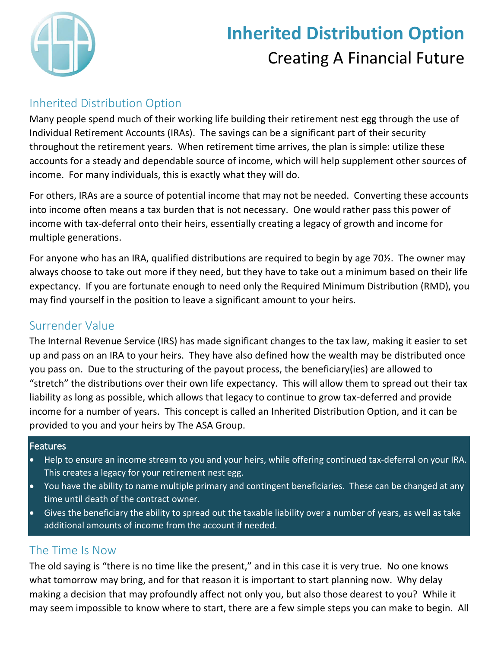

# **Inherited Distribution Option** Creating A Financial Future

## Inherited Distribution Option

Many people spend much of their working life building their retirement nest egg through the use of Individual Retirement Accounts (IRAs). The savings can be a significant part of their security throughout the retirement years. When retirement time arrives, the plan is simple: utilize these accounts for a steady and dependable source of income, which will help supplement other sources of income. For many individuals, this is exactly what they will do.

For others, IRAs are a source of potential income that may not be needed. Converting these accounts into income often means a tax burden that is not necessary. One would rather pass this power of income with tax-deferral onto their heirs, essentially creating a legacy of growth and income for multiple generations.

For anyone who has an IRA, qualified distributions are required to begin by age 70½. The owner may always choose to take out more if they need, but they have to take out a minimum based on their life expectancy. If you are fortunate enough to need only the Required Minimum Distribution (RMD), you may find yourself in the position to leave a significant amount to your heirs.

## Surrender Value

The Internal Revenue Service (IRS) has made significant changes to the tax law, making it easier to set up and pass on an IRA to your heirs. They have also defined how the wealth may be distributed once you pass on. Due to the structuring of the payout process, the beneficiary(ies) are allowed to "stretch" the distributions over their own life expectancy. This will allow them to spread out their tax liability as long as possible, which allows that legacy to continue to grow tax-deferred and provide income for a number of years. This concept is called an Inherited Distribution Option, and it can be provided to you and your heirs by The ASA Group.

### **Features**

- Help to ensure an income stream to you and your heirs, while offering continued tax-deferral on your IRA. This creates a legacy for your retirement nest egg.
- You have the ability to name multiple primary and contingent beneficiaries. These can be changed at any time until death of the contract owner.
- Gives the beneficiary the ability to spread out the taxable liability over a number of years, as well as take additional amounts of income from the account if needed.

## The Time Is Now

The old saying is "there is no time like the present," and in this case it is very true. No one knows what tomorrow may bring, and for that reason it is important to start planning now. Why delay making a decision that may profoundly affect not only you, but also those dearest to you? While it may seem impossible to know where to start, there are a few simple steps you can make to begin. All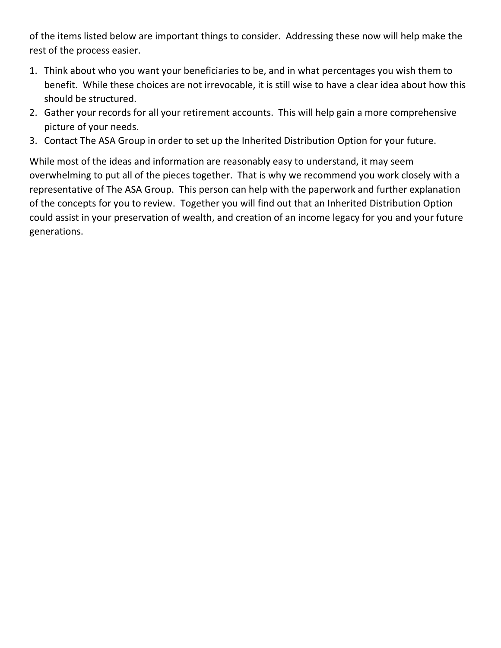of the items listed below are important things to consider. Addressing these now will help make the rest of the process easier.

- 1. Think about who you want your beneficiaries to be, and in what percentages you wish them to benefit. While these choices are not irrevocable, it is still wise to have a clear idea about how this should be structured.
- 2. Gather your records for all your retirement accounts. This will help gain a more comprehensive picture of your needs.
- 3. Contact The ASA Group in order to set up the Inherited Distribution Option for your future.

While most of the ideas and information are reasonably easy to understand, it may seem overwhelming to put all of the pieces together. That is why we recommend you work closely with a representative of The ASA Group. This person can help with the paperwork and further explanation of the concepts for you to review. Together you will find out that an Inherited Distribution Option could assist in your preservation of wealth, and creation of an income legacy for you and your future generations.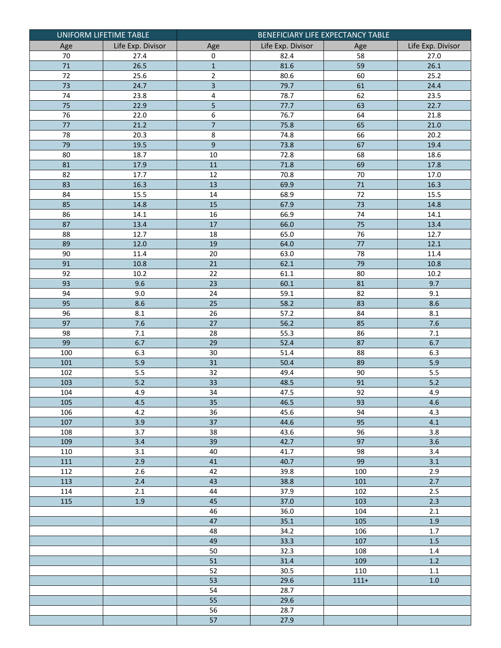|            | UNIFORM LIFETIME TABLE | BENEFICIARY LIFE EXPECTANCY TABLE |                   |                 |                   |  |
|------------|------------------------|-----------------------------------|-------------------|-----------------|-------------------|--|
| Age        | Life Exp. Divisor      | Age                               | Life Exp. Divisor | Age             | Life Exp. Divisor |  |
| 70         | 27.4                   | 0                                 | 82.4              | 58              | 27.0              |  |
| $71\,$     | 26.5                   | $\mathbf 1$                       | 81.6              | 59              | 26.1              |  |
| $72\,$     | 25.6                   | $\overline{2}$                    | 80.6              | 60              | 25.2              |  |
| 73         | 24.7                   | $\overline{3}$                    | 79.7              | 61              | 24.4              |  |
| 74         | 23.8                   | 4                                 | 78.7              | 62              | 23.5              |  |
| 75         | 22.9                   | 5                                 | 77.7              | 63              | 22.7              |  |
| 76         | 22.0                   | 6                                 | 76.7              | 64              | $21.\overline{8}$ |  |
| $77 \,$    | 21.2                   | $\overline{7}$                    | 75.8              | 65              | 21.0              |  |
| 78         | 20.3                   | 8                                 | 74.8              | 66              | 20.2              |  |
| 79         | 19.5                   | 9                                 | 73.8              | 67              | 19.4              |  |
| 80         | 18.7                   | $10\,$                            | 72.8              | 68              | 18.6              |  |
| 81         | 17.9                   | 11                                | 71.8              | 69              | 17.8              |  |
| 82         | 17.7                   | 12                                | 70.8              | 70              | 17.0              |  |
| 83         | 16.3                   | 13                                | 69.9              | 71              | 16.3              |  |
| 84         | 15.5                   | 14                                | 68.9              | $\overline{72}$ | 15.5              |  |
| 85         | 14.8                   | 15                                | 67.9              | 73              | 14.8              |  |
| 86         | 14.1                   | 16                                | 66.9              | 74              | 14.1              |  |
| 87         | 13.4                   | $\overline{17}$                   | 66.0              | $\overline{75}$ | 13.4              |  |
| 88         | 12.7                   | 18                                | 65.0              | 76              | 12.7              |  |
| 89         | 12.0                   | 19                                | 64.0              | 77              | 12.1              |  |
| 90         | 11.4                   | $20\,$                            | 63.0              | 78              | 11.4              |  |
| 91         | 10.8                   | 21                                | 62.1              | 79              | 10.8              |  |
| 92         | 10.2                   | 22                                | 61.1              | 80              | 10.2              |  |
| 93         | 9.6                    | 23                                | 60.1              | 81              | 9.7               |  |
| 94         | 9.0                    | 24                                | 59.1              | 82              | 9.1               |  |
| 95         | 8.6                    | 25                                | 58.2              | 83              | 8.6               |  |
| 96         | 8.1                    | 26                                | 57.2              | 84              | 8.1               |  |
| 97         | 7.6                    | 27                                | 56.2              | 85              | 7.6               |  |
| 98         | 7.1                    | 28                                | 55.3              | 86              | 7.1               |  |
| 99         | 6.7                    | 29                                | 52.4              | 87              | $6.7$             |  |
| 100        | 6.3                    | 30                                | 51.4              | 88              | 6.3               |  |
| 101        | 5.9                    | 31                                | 50.4              | 89              | 5.9               |  |
| 102        | 5.5                    | 32                                | 49.4              | 90              | 5.5               |  |
| 103        | $5.2$                  | 33                                | 48.5              | 91              | $5.2$             |  |
| 104        | 4.9                    | 34                                | 47.5              | 92              | 4.9               |  |
| 105        | 4.5                    | 35                                | 46.5              | 93              | 4.6               |  |
| 106<br>107 | 4.2                    | 36<br>37                          | 45.6<br>44.6      | 94<br>95        | 4.3<br>4.1        |  |
| 108        | 3.9<br>3.7             | 38                                | 43.6              | 96              | 3.8               |  |
| 109        | 3.4                    | 39                                | 42.7              | 97              | 3.6               |  |
| 110        | 3.1                    | 40                                | 41.7              | 98              | 3.4               |  |
| 111        | 2.9                    | 41                                | 40.7              | 99              | 3.1               |  |
| 112        | 2.6                    | 42                                | 39.8              | 100             | 2.9               |  |
| 113        | 2.4                    | 43                                | 38.8              | 101             | 2.7               |  |
| 114        | 2.1                    | 44                                | 37.9              | 102             | 2.5               |  |
| 115        | $1.9\,$                | 45                                | 37.0              | 103             | 2.3               |  |
|            |                        | 46                                | 36.0              | 104             | 2.1               |  |
|            |                        | 47                                | 35.1              | 105             | 1.9               |  |
|            |                        | 48                                | 34.2              | 106             | 1.7               |  |
|            |                        | 49                                | 33.3              | 107             | $1.5$             |  |
|            |                        | 50                                | 32.3              | 108             | $1.4\,$           |  |
|            |                        | 51                                | 31.4              | 109             | $1.2\,$           |  |
|            |                        | 52                                | 30.5              | 110             | 1.1               |  |
|            |                        | 53                                | 29.6              | $111 +$         | $1.0\,$           |  |
|            |                        | 54                                | 28.7              |                 |                   |  |
|            |                        | 55                                | 29.6              |                 |                   |  |
|            |                        | 56                                | 28.7              |                 |                   |  |
|            |                        | 57                                | 27.9              |                 |                   |  |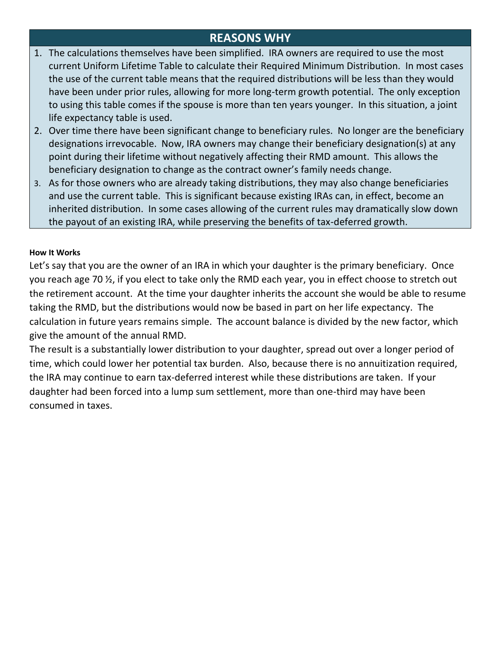## **REASONS WHY**

- 1. The calculations themselves have been simplified. IRA owners are required to use the most current Uniform Lifetime Table to calculate their Required Minimum Distribution. In most cases the use of the current table means that the required distributions will be less than they would have been under prior rules, allowing for more long-term growth potential. The only exception to using this table comes if the spouse is more than ten years younger. In this situation, a joint life expectancy table is used.
- 2. Over time there have been significant change to beneficiary rules. No longer are the beneficiary designations irrevocable. Now, IRA owners may change their beneficiary designation(s) at any point during their lifetime without negatively affecting their RMD amount. This allows the beneficiary designation to change as the contract owner's family needs change.
- 3. As for those owners who are already taking distributions, they may also change beneficiaries and use the current table. This is significant because existing IRAs can, in effect, become an inherited distribution. In some cases allowing of the current rules may dramatically slow down the payout of an existing IRA, while preserving the benefits of tax-deferred growth.

#### **How It Works**

Let's say that you are the owner of an IRA in which your daughter is the primary beneficiary. Once you reach age 70 ½, if you elect to take only the RMD each year, you in effect choose to stretch out the retirement account. At the time your daughter inherits the account she would be able to resume taking the RMD, but the distributions would now be based in part on her life expectancy. The calculation in future years remains simple. The account balance is divided by the new factor, which give the amount of the annual RMD.

The result is a substantially lower distribution to your daughter, spread out over a longer period of time, which could lower her potential tax burden. Also, because there is no annuitization required, the IRA may continue to earn tax-deferred interest while these distributions are taken. If your daughter had been forced into a lump sum settlement, more than one-third may have been consumed in taxes.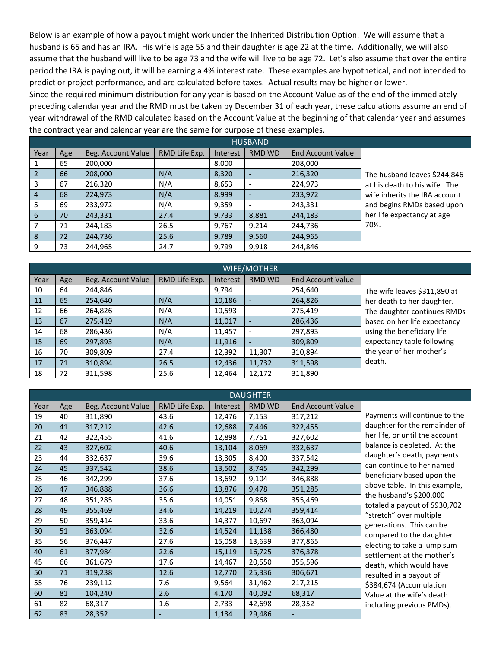Below is an example of how a payout might work under the Inherited Distribution Option. We will assume that a husband is 65 and has an IRA. His wife is age 55 and their daughter is age 22 at the time. Additionally, we will also assume that the husband will live to be age 73 and the wife will live to be age 72. Let's also assume that over the entire period the IRA is paying out, it will be earning a 4% interest rate. These examples are hypothetical, and not intended to predict or project performance, and are calculated before taxes. Actual results may be higher or lower.

Since the required minimum distribution for any year is based on the Account Value as of the end of the immediately preceding calendar year and the RMD must be taken by December 31 of each year, these calculations assume an end of year withdrawal of the RMD calculated based on the Account Value at the beginning of that calendar year and assumes the contract year and calendar year are the same for purpose of these examples.

| <b>HUSBAND</b> |     |                    |               |          |               |                          |                               |  |  |
|----------------|-----|--------------------|---------------|----------|---------------|--------------------------|-------------------------------|--|--|
| Year           | Age | Beg. Account Value | RMD Life Exp. | Interest | <b>RMD WD</b> | <b>End Account Value</b> |                               |  |  |
|                | 65  | 200,000            |               | 8,000    |               | 208,000                  |                               |  |  |
|                | 66  | 208,000            | N/A           | 8,320    |               | 216,320                  | The husband leaves \$244,846  |  |  |
| 3              | 67  | 216,320            | N/A           | 8,653    |               | 224,973                  | at his death to his wife. The |  |  |
| 4              | 68  | 224.973            | N/A           | 8,999    |               | 233,972                  | wife inherits the IRA account |  |  |
| 5              | 69  | 233,972            | N/A           | 9,359    |               | 243,331                  | and begins RMDs based upon    |  |  |
| 6              | 70  | 243,331            | 27.4          | 9,733    | 8,881         | 244,183                  | her life expectancy at age    |  |  |
|                | 71  | 244,183            | 26.5          | 9,767    | 9,214         | 244,736                  | 70%.                          |  |  |
| 8              | 72  | 244,736            | 25.6          | 9,789    | 9,560         | 244,965                  |                               |  |  |
| 9              | 73  | 244,965            | 24.7          | 9,799    | 9,918         | 244,846                  |                               |  |  |

| <b>WIFE/MOTHER</b> |     |                    |               |          |        |                          |                              |  |  |
|--------------------|-----|--------------------|---------------|----------|--------|--------------------------|------------------------------|--|--|
| Year               | Age | Beg. Account Value | RMD Life Exp. | Interest | RMD WD | <b>End Account Value</b> |                              |  |  |
| 10                 | 64  | 244,846            |               | 9,794    |        | 254,640                  | The wife leaves \$311,890 at |  |  |
| 11                 | 65  | 254,640            | N/A           | 10,186   |        | 264,826                  | her death to her daughter.   |  |  |
| 12                 | 66  | 264,826            | N/A           | 10,593   |        | 275,419                  | The daughter continues RMDs  |  |  |
| 13                 | 67  | 275,419            | N/A           | 11,017   |        | 286,436                  | based on her life expectancy |  |  |
| 14                 | 68  | 286,436            | N/A           | 11,457   |        | 297,893                  | using the beneficiary life   |  |  |
| 15                 | 69  | 297,893            | N/A           | 11,916   |        | 309,809                  | expectancy table following   |  |  |
| 16                 | 70  | 309,809            | 27.4          | 12,392   | 11,307 | 310,894                  | the year of her mother's     |  |  |
| 17                 | 71  | 310,894            | 26.5          | 12,436   | 11,732 | 311,598                  | death.                       |  |  |
| 18                 | 72  | 311,598            | 25.6          | 12,464   | 12,172 | 311,890                  |                              |  |  |

| <b>DAUGHTER</b> |     |                    |               |          |               |                          |                                                          |  |  |
|-----------------|-----|--------------------|---------------|----------|---------------|--------------------------|----------------------------------------------------------|--|--|
| Year            | Age | Beg. Account Value | RMD Life Exp. | Interest | <b>RMD WD</b> | <b>End Account Value</b> |                                                          |  |  |
| 19              | 40  | 311,890            | 43.6          | 12,476   | 7,153         | 317,212                  | Payments will continue to the                            |  |  |
| 20              | 41  | 317,212            | 42.6          | 12,688   | 7,446         | 322,455                  | daughter for the remainder of                            |  |  |
| 21              | 42  | 322,455            | 41.6          | 12,898   | 7,751         | 327,602                  | her life, or until the account                           |  |  |
| 22              | 43  | 327,602            | 40.6          | 13,104   | 8,069         | 332,637                  | balance is depleted. At the                              |  |  |
| 23              | 44  | 332,637            | 39.6          | 13,305   | 8,400         | 337,542                  | daughter's death, payments                               |  |  |
| 24              | 45  | 337,542            | 38.6          | 13,502   | 8,745         | 342,299                  | can continue to her named                                |  |  |
| 25              | 46  | 342,299            | 37.6          | 13,692   | 9,104         | 346,888                  | beneficiary based upon the                               |  |  |
| 26              | 47  | 346,888            | 36.6          | 13,876   | 9,478         | 351,285                  | above table. In this example,                            |  |  |
| 27              | 48  | 351,285            | 35.6          | 14,051   | 9,868         | 355,469                  | the husband's \$200,000                                  |  |  |
| 28              | 49  | 355,469            | 34.6          | 14,219   | 10,274        | 359,414                  | totaled a payout of \$930,702<br>"stretch" over multiple |  |  |
| 29              | 50  | 359,414            | 33.6          | 14,377   | 10,697        | 363,094                  | generations. This can be                                 |  |  |
| 30              | 51  | 363,094            | 32.6          | 14,524   | 11,138        | 366,480                  | compared to the daughter                                 |  |  |
| 35              | 56  | 376,447            | 27.6          | 15,058   | 13,639        | 377,865                  | electing to take a lump sum                              |  |  |
| 40              | 61  | 377,984            | 22.6          | 15,119   | 16,725        | 376,378                  | settlement at the mother's                               |  |  |
| 45              | 66  | 361,679            | 17.6          | 14,467   | 20,550        | 355,596                  | death, which would have                                  |  |  |
| 50              | 71  | 319,238            | 12.6          | 12,770   | 25,336        | 306,671                  | resulted in a payout of                                  |  |  |
| 55              | 76  | 239,112            | 7.6           | 9,564    | 31,462        | 217,215                  | \$384,674 (Accumulation                                  |  |  |
| 60              | 81  | 104,240            | 2.6           | 4,170    | 40,092        | 68,317                   | Value at the wife's death                                |  |  |
| 61              | 82  | 68,317             | 1.6           | 2,733    | 42,698        | 28,352                   | including previous PMDs).                                |  |  |
| 62              | 83  | 28,352             |               | 1,134    | 29,486        |                          |                                                          |  |  |